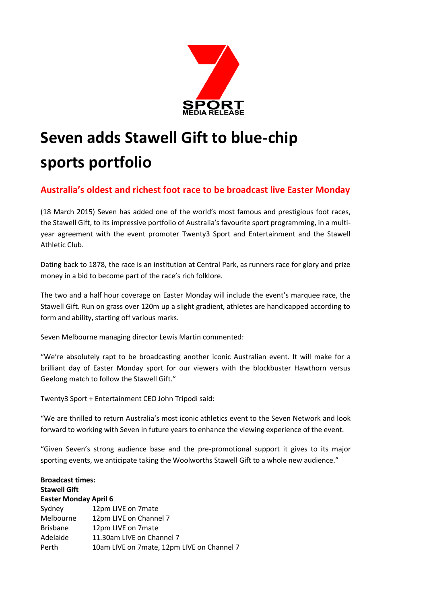

## **Seven adds Stawell Gift to blue-chip sports portfolio**

## **Australia's oldest and richest foot race to be broadcast live Easter Monday**

(18 March 2015) Seven has added one of the world's most famous and prestigious foot races, the Stawell Gift, to its impressive portfolio of Australia's favourite sport programming, in a multiyear agreement with the event promoter Twenty3 Sport and Entertainment and the Stawell Athletic Club.

Dating back to 1878, the race is an institution at Central Park, as runners race for glory and prize money in a bid to become part of the race's rich folklore.

The two and a half hour coverage on Easter Monday will include the event's marquee race, the Stawell Gift. Run on grass over 120m up a slight gradient, athletes are handicapped according to form and ability, starting off various marks.

Seven Melbourne managing director Lewis Martin commented:

"We're absolutely rapt to be broadcasting another iconic Australian event. It will make for a brilliant day of Easter Monday sport for our viewers with the blockbuster Hawthorn versus Geelong match to follow the Stawell Gift."

Twenty3 Sport + Entertainment CEO John Tripodi said:

"We are thrilled to return Australia's most iconic athletics event to the Seven Network and look forward to working with Seven in future years to enhance the viewing experience of the event.

"Given Seven's strong audience base and the pre-promotional support it gives to its major sporting events, we anticipate taking the Woolworths Stawell Gift to a whole new audience."

| <b>Broadcast times:</b><br><b>Stawell Gift</b> |                                            |
|------------------------------------------------|--------------------------------------------|
| <b>Easter Monday April 6</b>                   |                                            |
| Sydney                                         | 12pm LIVE on 7mate                         |
| Melbourne                                      | 12pm LIVE on Channel 7                     |
| <b>Brisbane</b>                                | 12pm LIVE on 7mate                         |
| Adelaide                                       | 11.30am LIVE on Channel 7                  |
| Perth                                          | 10am LIVE on 7mate, 12pm LIVE on Channel 7 |